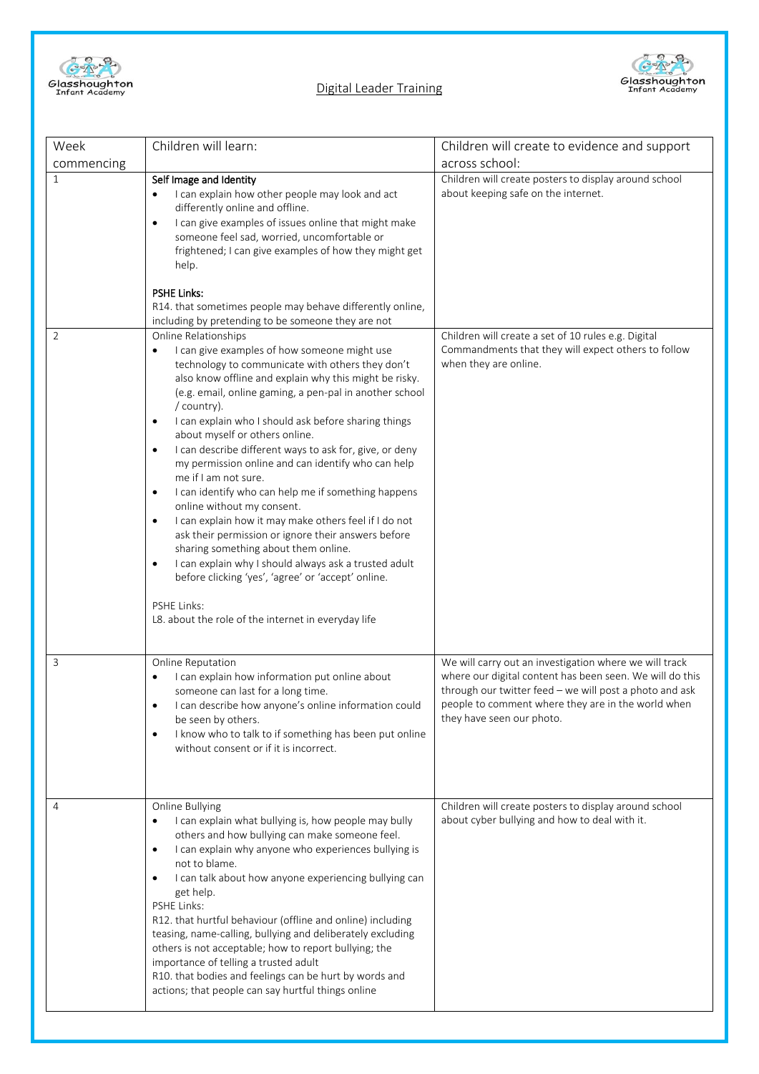

## Digital Leader Training



| Week                           | Children will learn:                                                                                                                                                                                                                                                                                                                                                                                                                                                                                                                                                                                                                                                                                                                                                                                                                                                                                                                                                                                                                                                                                                                                                                                                                                                                                                                                                                                                                                            | Children will create to evidence and support                                                                                                                                                                                                                     |
|--------------------------------|-----------------------------------------------------------------------------------------------------------------------------------------------------------------------------------------------------------------------------------------------------------------------------------------------------------------------------------------------------------------------------------------------------------------------------------------------------------------------------------------------------------------------------------------------------------------------------------------------------------------------------------------------------------------------------------------------------------------------------------------------------------------------------------------------------------------------------------------------------------------------------------------------------------------------------------------------------------------------------------------------------------------------------------------------------------------------------------------------------------------------------------------------------------------------------------------------------------------------------------------------------------------------------------------------------------------------------------------------------------------------------------------------------------------------------------------------------------------|------------------------------------------------------------------------------------------------------------------------------------------------------------------------------------------------------------------------------------------------------------------|
| commencing                     |                                                                                                                                                                                                                                                                                                                                                                                                                                                                                                                                                                                                                                                                                                                                                                                                                                                                                                                                                                                                                                                                                                                                                                                                                                                                                                                                                                                                                                                                 | across school:                                                                                                                                                                                                                                                   |
| $\mathbf{1}$<br>$\overline{2}$ | Self Image and Identity<br>I can explain how other people may look and act<br>differently online and offline.<br>I can give examples of issues online that might make<br>$\bullet$<br>someone feel sad, worried, uncomfortable or<br>frightened; I can give examples of how they might get<br>help.<br><b>PSHE Links:</b><br>R14. that sometimes people may behave differently online,<br>including by pretending to be someone they are not<br>Online Relationships<br>I can give examples of how someone might use<br>$\bullet$<br>technology to communicate with others they don't<br>also know offline and explain why this might be risky.<br>(e.g. email, online gaming, a pen-pal in another school<br>/ country).<br>I can explain who I should ask before sharing things<br>$\bullet$<br>about myself or others online.<br>I can describe different ways to ask for, give, or deny<br>$\bullet$<br>my permission online and can identify who can help<br>me if I am not sure.<br>I can identify who can help me if something happens<br>$\bullet$<br>online without my consent.<br>I can explain how it may make others feel if I do not<br>$\bullet$<br>ask their permission or ignore their answers before<br>sharing something about them online.<br>I can explain why I should always ask a trusted adult<br>$\bullet$<br>before clicking 'yes', 'agree' or 'accept' online.<br>PSHE Links:<br>L8. about the role of the internet in everyday life | Children will create posters to display around school<br>about keeping safe on the internet.<br>Children will create a set of 10 rules e.g. Digital<br>Commandments that they will expect others to follow<br>when they are online.                              |
| 3                              | Online Reputation<br>I can explain how information put online about<br>someone can last for a long time.<br>I can describe how anyone's online information could<br>be seen by others.<br>I know who to talk to if something has been put online<br>$\bullet$<br>without consent or if it is incorrect.                                                                                                                                                                                                                                                                                                                                                                                                                                                                                                                                                                                                                                                                                                                                                                                                                                                                                                                                                                                                                                                                                                                                                         | We will carry out an investigation where we will track<br>where our digital content has been seen. We will do this<br>through our twitter feed - we will post a photo and ask<br>people to comment where they are in the world when<br>they have seen our photo. |
| 4                              | Online Bullying<br>I can explain what bullying is, how people may bully<br>others and how bullying can make someone feel.<br>I can explain why anyone who experiences bullying is<br>$\bullet$<br>not to blame.<br>I can talk about how anyone experiencing bullying can<br>$\bullet$<br>get help.<br>PSHE Links:<br>R12. that hurtful behaviour (offline and online) including<br>teasing, name-calling, bullying and deliberately excluding<br>others is not acceptable; how to report bullying; the<br>importance of telling a trusted adult<br>R10. that bodies and feelings can be hurt by words and<br>actions; that people can say hurtful things online                                                                                                                                                                                                                                                                                                                                                                                                                                                                                                                                                                                                                                                                                                                                                                                                 | Children will create posters to display around school<br>about cyber bullying and how to deal with it.                                                                                                                                                           |